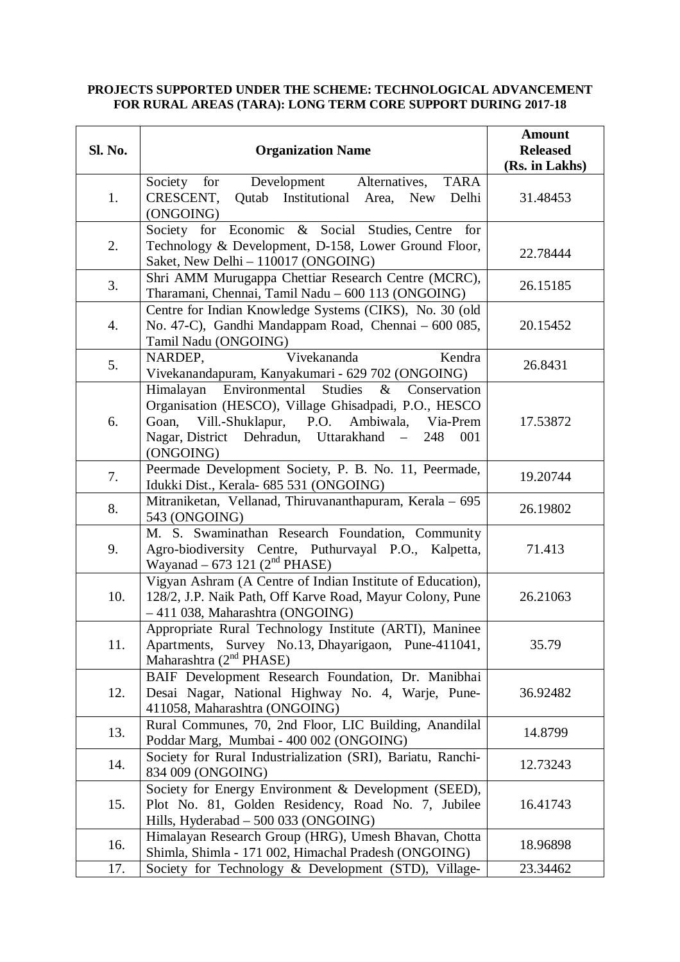## **PROJECTS SUPPORTED UNDER THE SCHEME: TECHNOLOGICAL ADVANCEMENT FOR RURAL AREAS (TARA): LONG TERM CORE SUPPORT DURING 2017-18**

| Sl. No. | <b>Organization Name</b>                                                                                                                                                                                                                    | <b>Amount</b><br><b>Released</b><br>(Rs. in Lakhs) |
|---------|---------------------------------------------------------------------------------------------------------------------------------------------------------------------------------------------------------------------------------------------|----------------------------------------------------|
| 1.      | <b>TARA</b><br>Society for Development Alternatives,<br>Qutab Institutional Area, New<br>CRESCENT,<br>Delhi<br>(ONGOING)                                                                                                                    | 31.48453                                           |
| 2.      | Society for Economic & Social Studies, Centre for<br>Technology & Development, D-158, Lower Ground Floor,<br>Saket, New Delhi - 110017 (ONGOING)                                                                                            | 22.78444                                           |
| 3.      | Shri AMM Murugappa Chettiar Research Centre (MCRC),<br>Tharamani, Chennai, Tamil Nadu - 600 113 (ONGOING)                                                                                                                                   | 26.15185                                           |
| 4.      | Centre for Indian Knowledge Systems (CIKS), No. 30 (old<br>No. 47-C), Gandhi Mandappam Road, Chennai – 600 085,<br>Tamil Nadu (ONGOING)                                                                                                     | 20.15452                                           |
| 5.      | Vivekananda<br>Kendra<br>NARDEP,<br>Vivekanandapuram, Kanyakumari - 629 702 (ONGOING)                                                                                                                                                       | 26.8431                                            |
| 6.      | Himalayan Environmental Studies<br>Conservation<br>$\&$<br>Organisation (HESCO), Village Ghisadpadi, P.O., HESCO<br>Vill.-Shuklapur, P.O. Ambiwala, Via-Prem<br>Goan,<br>Nagar, District Dehradun, Uttarakhand -<br>248<br>001<br>(ONGOING) | 17.53872                                           |
| 7.      | Peermade Development Society, P. B. No. 11, Peermade,<br>Idukki Dist., Kerala- 685 531 (ONGOING)                                                                                                                                            | 19.20744                                           |
| 8.      | Mitraniketan, Vellanad, Thiruvananthapuram, Kerala – 695<br>543 (ONGOING)                                                                                                                                                                   | 26.19802                                           |
| 9.      | M. S. Swaminathan Research Foundation, Community<br>Agro-biodiversity Centre, Puthurvayal P.O., Kalpetta,<br>Wayanad $-673$ 121 ( $2nd$ PHASE)                                                                                              | 71.413                                             |
| 10.     | Vigyan Ashram (A Centre of Indian Institute of Education),<br>128/2, J.P. Naik Path, Off Karve Road, Mayur Colony, Pune<br>-411 038, Maharashtra (ONGOING)                                                                                  | 26.21063                                           |
| 11.     | Appropriate Rural Technology Institute (ARTI), Maninee<br>Apartments, Survey No.13, Dhayarigaon, Pune-411041,<br>Maharashtra $(2nd PHASE)$                                                                                                  | 35.79                                              |
| 12.     | BAIF Development Research Foundation, Dr. Manibhai<br>Desai Nagar, National Highway No. 4, Warje, Pune-<br>411058, Maharashtra (ONGOING)                                                                                                    | 36.92482                                           |
| 13.     | Rural Communes, 70, 2nd Floor, LIC Building, Anandilal<br>Poddar Marg, Mumbai - 400 002 (ONGOING)                                                                                                                                           | 14.8799                                            |
| 14.     | Society for Rural Industrialization (SRI), Bariatu, Ranchi-<br>834 009 (ONGOING)                                                                                                                                                            | 12.73243                                           |
| 15.     | Society for Energy Environment & Development (SEED),<br>Plot No. 81, Golden Residency, Road No. 7, Jubilee<br>Hills, Hyderabad - 500 033 (ONGOING)                                                                                          | 16.41743                                           |
| 16.     | Himalayan Research Group (HRG), Umesh Bhavan, Chotta<br>Shimla, Shimla - 171 002, Himachal Pradesh (ONGOING)                                                                                                                                | 18.96898                                           |
| 17.     | Society for Technology & Development (STD), Village-                                                                                                                                                                                        | 23.34462                                           |